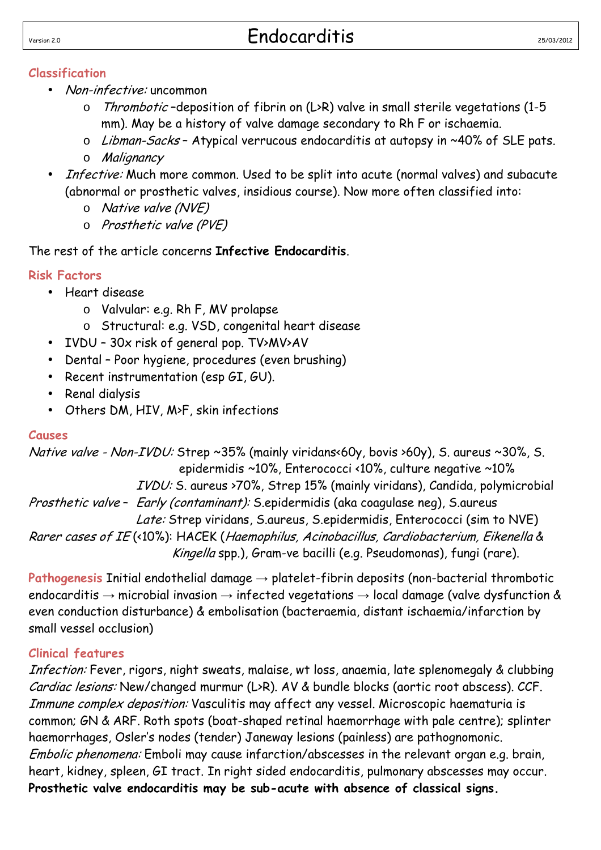#### **Classification**

- Non-infective: uncommon
	- o Thrombotic –deposition of fibrin on (L>R) valve in small sterile vegetations (1-5 mm). May be a history of valve damage secondary to Rh F or ischaemia.
	- o Libman-Sacks Atypical verrucous endocarditis at autopsy in ~40% of SLE pats. o Malignancy
- Infective: Much more common. Used to be split into acute (normal valves) and subacute (abnormal or prosthetic valves, insidious course). Now more often classified into:
	- o Native valve (NVE)
	- o Prosthetic valve (PVE)

# The rest of the article concerns **Infective Endocarditis**.

# **Risk Factors**

- Heart disease
	- o Valvular: e.g. Rh F, MV prolapse
	- o Structural: e.g. VSD, congenital heart disease
- IVDU 30x risk of general pop. TV>MV>AV
- Dental Poor hygiene, procedures (even brushing)
- Recent instrumentation (esp GI, GU).
- Renal dialysis
- Others DM, HIV, M>F, skin infections

### **Causes**

Native valve - Non-IVDU: Strep ~35% (mainly viridans<60y, bovis >60y), S. aureus ~30%, S. epidermidis ~10%, Enterococci <10%, culture negative ~10% IVDU: S. aureus >70%, Strep 15% (mainly viridans), Candida, polymicrobial Prosthetic valve – Early (contaminant): S.epidermidis (aka coagulase neg), S.aureus Late: Strep viridans, S.aureus, S.epidermidis, Enterococci (sim to NVE) Rarer cases of IE (<10%): HACEK (Haemophilus, Acinobacillus, Cardiobacterium, Eikenella & Kingella spp.), Gram-ve bacilli (e.g. Pseudomonas), fungi (rare).

**Pathogenesis** Initial endothelial damage → platelet-fibrin deposits (non-bacterial thrombotic endocarditis  $\rightarrow$  microbial invasion  $\rightarrow$  infected vegetations  $\rightarrow$  local damage (valve dysfunction & even conduction disturbance) & embolisation (bacteraemia, distant ischaemia/infarction by small vessel occlusion)

# **Clinical features**

Infection: Fever, rigors, night sweats, malaise, wt loss, anaemia, late splenomegaly & clubbing Cardiac lesions: New/changed murmur (L>R). AV & bundle blocks (aortic root abscess). CCF. Immune complex deposition: Vasculitis may affect any vessel. Microscopic haematuria is common; GN & ARF. Roth spots (boat-shaped retinal haemorrhage with pale centre); splinter haemorrhages, Osler's nodes (tender) Janeway lesions (painless) are pathognomonic. Embolic phenomena: Emboli may cause infarction/abscesses in the relevant organ e.g. brain, heart, kidney, spleen, GI tract. In right sided endocarditis, pulmonary abscesses may occur. **Prosthetic valve endocarditis may be sub-acute with absence of classical signs.**